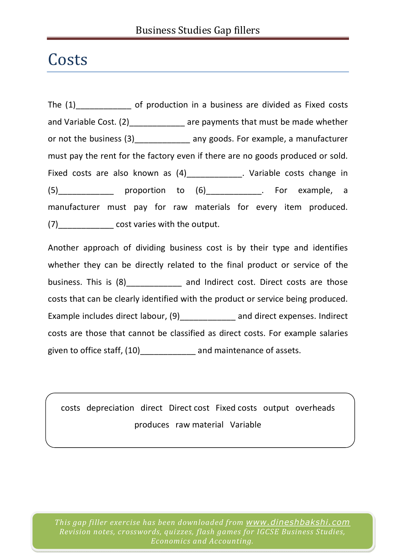## Costs

The (1) of production in a business are divided as Fixed costs and Variable Cost. (2)\_\_\_\_\_\_\_\_\_\_\_\_ are payments that must be made whether or not the business (3) any goods. For example, a manufacturer must pay the rent for the factory even if there are no goods produced or sold. Fixed costs are also known as (4)\_\_\_\_\_\_\_\_\_\_\_\_\_. Variable costs change in  $(5)$  proportion to  $(6)$  . For example, a manufacturer must pay for raw materials for every item produced. (7)\_\_\_\_\_\_\_\_\_\_\_\_ cost varies with the output.

Another approach of dividing business cost is by their type and identifies whether they can be directly related to the final product or service of the business. This is  $(8)$  \_\_\_\_\_\_\_\_\_\_\_\_\_ and Indirect cost. Direct costs are those costs that can be clearly identified with the product or service being produced. Example includes direct labour, (9)\_\_\_\_\_\_\_\_\_\_\_\_ and direct expenses. Indirect costs are those that cannot be classified as direct costs. For example salaries given to office staff, (10)\_\_\_\_\_\_\_\_\_\_\_\_\_ and maintenance of assets.

costs depreciation direct Direct cost Fixed costs output overheads produces raw material Variable

*This gap filler exercise has been downloaded from www.dineshbakshi.com Revision notes, crosswords, quizzes, flash games for IGCSE Business Studies, Economics and Accounting.*